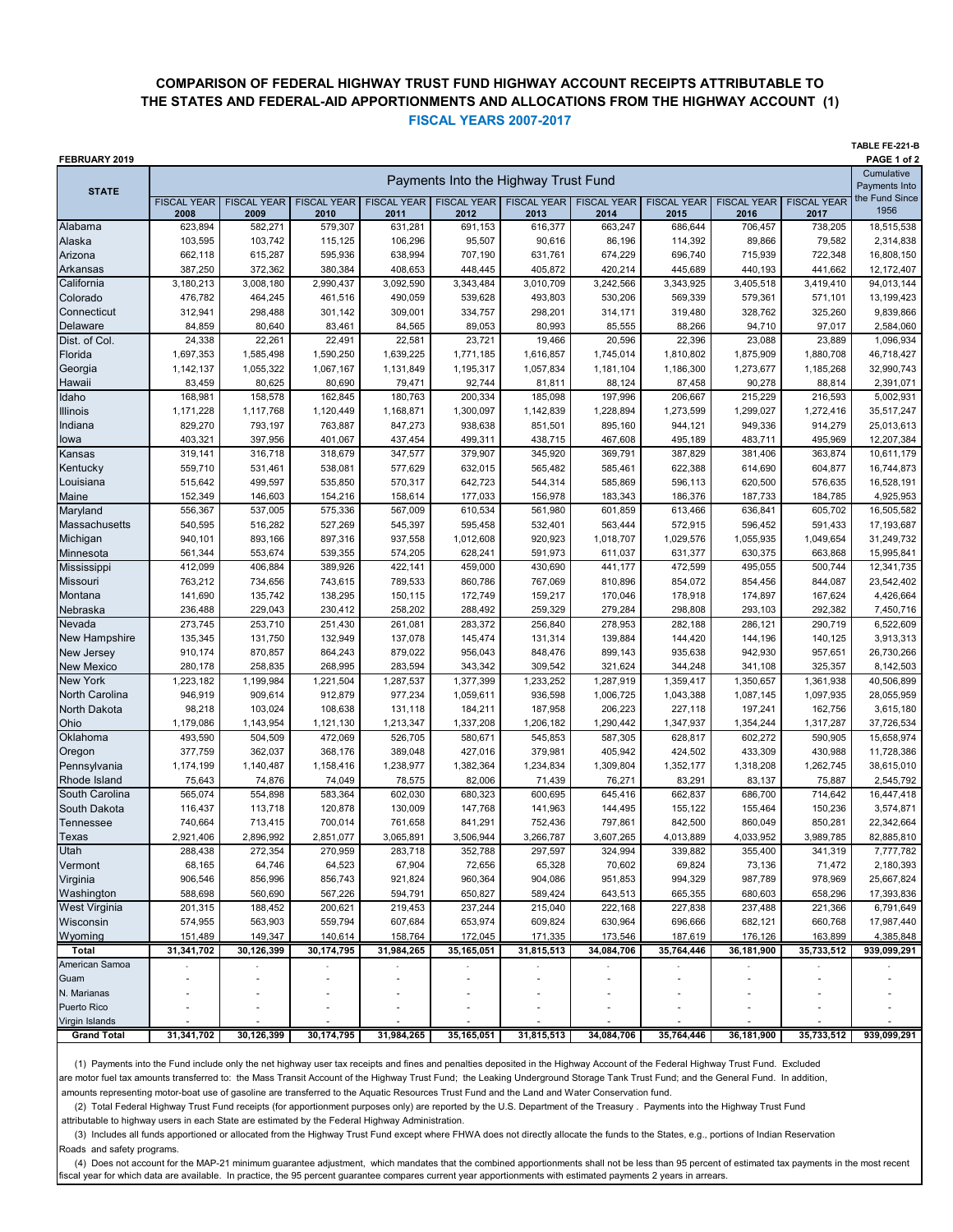## **COMPARISON OF FEDERAL HIGHWAY TRUST FUND HIGHWAY ACCOUNT RECEIPTS ATTRIBUTABLE TO THE STATES AND FEDERAL-AID APPORTIONMENTS AND ALLOCATIONS FROM THE HIGHWAY ACCOUNT (1) FISCAL YEARS 2007-2017**

**TABLE FE-221-B**

| FEBRUARY 2019                        |                                      |                            |                            |                            |                      |                                        |                            |                            |                            |                             | PAGE 1 of 2              |
|--------------------------------------|--------------------------------------|----------------------------|----------------------------|----------------------------|----------------------|----------------------------------------|----------------------------|----------------------------|----------------------------|-----------------------------|--------------------------|
| <b>STATE</b>                         | Payments Into the Highway Trust Fund |                            |                            |                            |                      |                                        |                            |                            |                            | Cumulative<br>Payments Into |                          |
|                                      | <b>FISCAL YEAR</b><br>2008           | <b>FISCAL YEAR</b><br>2009 | <b>FISCAL YEAR</b><br>2010 | <b>FISCAL YEAR</b><br>2011 | 2012                 | <b>FISCAL YEAR FISCAL YEAR</b><br>2013 | <b>FISCAL YEAR</b><br>2014 | <b>FISCAL YEAR</b><br>2015 | <b>FISCAL YEAR</b><br>2016 | <b>FISCAL YEAR</b><br>2017  | the Fund Since<br>1956   |
| Alabama                              | 623,894                              | 582,271                    | 579,307                    | 631,281                    | 691,153              | 616,377                                | 663,247                    | 686,644                    | 706,457                    | 738,205                     | 18,515,538               |
| Alaska                               | 103,595                              | 103,742                    | 115,125                    | 106,296                    | 95,507               | 90,616                                 | 86,196                     | 114,392                    | 89,866                     | 79,582                      | 2,314,838                |
| Arizona                              | 662,118                              | 615,287                    | 595.936                    | 638,994                    | 707,190              | 631,761                                | 674,229                    | 696,740                    | 715,939                    | 722,348                     | 16,808,150               |
| Arkansas                             | 387,250                              | 372,362                    | 380,384                    | 408,653                    | 448,445              | 405,872                                | 420,214                    | 445,689                    | 440,193                    | 441,662                     | 12,172,407               |
| California                           | 3,180,213                            | 3,008,180                  | 2,990,437                  | 3,092,590                  | 3,343,484            | 3,010,709                              | 3,242,566                  | 3,343,925                  | 3,405,518                  | 3,419,410                   | 94,013,144               |
| Colorado                             | 476,782                              | 464,245                    | 461,516                    | 490,059                    | 539,628              | 493,803                                | 530,206                    | 569,339                    | 579,361                    | 571,101                     | 13,199,423               |
| Connecticut                          | 312,941                              | 298,488                    | 301,142                    | 309,001                    | 334,757              | 298,201                                | 314,171                    | 319,480                    | 328,762                    | 325,260                     | 9,839,866                |
| Delaware                             | 84,859                               | 80,640                     | 83,461                     | 84,565                     | 89,053               | 80,993                                 | 85,555                     | 88,266                     | 94,710                     | 97,017                      | 2,584,060                |
| Dist. of Col.                        | 24,338                               | 22,261                     | 22,491                     | 22,581                     | 23,721               | 19,466                                 | 20,596                     | 22,396                     | 23,088                     | 23,889                      | 1,096,934                |
| Florida                              | 1,697,353                            | 1,585,498                  | 1,590,250                  | 1,639,225                  | 1,771,185            | 1,616,857                              | 1,745,014                  | 1,810,802                  | 1,875,909                  | 1,880,708                   | 46,718,427               |
| Georgia                              | 1,142,137                            | 1,055,322                  | 1,067,167                  | 1,131,849                  | 1,195,317            | 1,057,834                              | 1,181,104                  | 1,186,300                  | 1,273,677                  | 1,185,268                   | 32,990,743               |
| Hawaii                               | 83,459                               | 80,625                     | 80,690                     | 79,471                     | 92,744               | 81,811                                 | 88,124                     | 87,458                     | 90,278                     | 88,814                      | 2,391,071                |
| Idaho                                | 168,981                              | 158,578                    | 162,845                    | 180,763                    | 200,334              | 185,098                                | 197,996                    | 206,667                    | 215,229                    | 216,593                     | 5,002,931                |
| <b>Illinois</b>                      | 1,171,228                            | 1,117,768                  | 1,120,449                  | 1,168,871                  | 1,300,097            | 1,142,839                              | 1,228,894                  | 1,273,599                  | 1,299,027                  | 1,272,416                   | 35,517,247               |
| Indiana                              | 829,270                              | 793,197                    | 763,887                    | 847,273                    | 938,638              | 851,501                                | 895,160                    | 944,121                    | 949,336                    | 914,279                     | 25,013,613               |
| lowa                                 | 403,321                              | 397,956                    | 401,067                    | 437,454                    | 499,311              | 438,715                                | 467,608                    | 495,189                    | 483,711                    | 495,969                     | 12,207,384               |
| Kansas                               | 319,141                              | 316,718                    | 318,679                    | 347,577                    | 379,907              | 345,920                                | 369,791                    | 387,829                    | 381,406                    | 363,874                     | 10,611,179               |
| Kentucky                             | 559,710                              | 531,461                    | 538,081                    | 577,629                    | 632,015              | 565,482                                | 585,461                    | 622,388                    | 614,690                    | 604,877                     | 16,744,873               |
| Louisiana                            | 515,642                              | 499,597                    | 535,850                    | 570,317                    | 642,723              | 544,314                                | 585,869                    | 596,113                    | 620.500                    | 576,635                     | 16,528,191               |
| Maine                                | 152,349                              | 146,603                    | 154,216                    | 158,614                    | 177,033              | 156,978                                | 183,343                    | 186,376                    | 187,733                    | 184,785                     | 4,925,953                |
| Maryland                             | 556,367                              | 537,005                    | 575,336                    | 567,009                    | 610,534              | 561,980                                | 601,859                    | 613,466                    | 636,841                    | 605,702                     | 16,505,582               |
| Massachusetts<br>Michigan            | 540,595<br>940,101                   | 516,282                    | 527,269                    | 545,397                    | 595,458              | 532,401                                | 563,444                    | 572,915                    | 596,452                    | 591,433                     | 17,193,687               |
| Minnesota                            | 561,344                              | 893,166<br>553,674         | 897,316<br>539,355         | 937,558                    | 1,012,608<br>628,241 | 920,923<br>591,973                     | 1,018,707<br>611,037       | 1,029,576<br>631,377       | 1,055,935<br>630,375       | 1,049,654<br>663,868        | 31,249,732<br>15,995,841 |
| Mississippi                          | 412,099                              | 406,884                    | 389,926                    | 574,205<br>422,141         | 459,000              | 430,690                                | 441,177                    | 472,599                    | 495,055                    | 500,744                     | 12,341,735               |
| Missouri                             | 763,212                              | 734,656                    | 743,615                    | 789,533                    | 860,786              | 767,069                                | 810,896                    | 854,072                    | 854,456                    | 844,087                     | 23,542,402               |
| Montana                              | 141,690                              | 135,742                    | 138,295                    | 150,115                    | 172,749              | 159,217                                | 170,046                    | 178,918                    | 174,897                    | 167,624                     | 4,426,664                |
| Nebraska                             | 236,488                              | 229,043                    | 230,412                    | 258,202                    | 288,492              | 259,329                                | 279,284                    | 298,808                    | 293,103                    | 292,382                     | 7,450,716                |
| Nevada                               | 273,745                              | 253,710                    | 251,430                    | 261,081                    | 283,372              | 256,840                                | 278,953                    | 282,188                    | 286,121                    | 290,719                     | 6,522,609                |
| <b>New Hampshire</b>                 | 135,345                              | 131,750                    | 132,949                    | 137,078                    | 145,474              | 131,314                                | 139,884                    | 144,420                    | 144,196                    | 140,125                     | 3,913,313                |
| <b>New Jersey</b>                    | 910,174                              | 870,857                    | 864,243                    | 879,022                    | 956,043              | 848,476                                | 899,143                    | 935,638                    | 942,930                    | 957,651                     | 26,730,266               |
| <b>New Mexico</b>                    | 280,178                              | 258,835                    | 268,995                    | 283,594                    | 343,342              | 309,542                                | 321,624                    | 344,248                    | 341,108                    | 325,357                     | 8,142,503                |
| <b>New York</b>                      | 1,223,182                            | 1,199,984                  | 1,221,504                  | 1,287,537                  | 1,377,399            | 1,233,252                              | 1,287,919                  | 1,359,417                  | 1,350,657                  | 1,361,938                   | 40,506,899               |
| North Carolina                       | 946,919                              | 909,614                    | 912,879                    | 977,234                    | 1,059,611            | 936,598                                | 1,006,725                  | 1,043,388                  | 1,087,145                  | 1,097,935                   | 28,055,959               |
| North Dakota                         | 98,218                               | 103,024                    | 108,638                    | 131,118                    | 184,211              | 187,958                                | 206,223                    | 227,118                    | 197,241                    | 162,756                     | 3,615,180                |
| Ohio                                 | 1,179,086                            | 1,143,954                  | 1,121,130                  | 1,213,347                  | 1,337,208            | 1,206,182                              | 1,290,442                  | 1,347,937                  | 1,354,244                  | 1,317,287                   | 37,726,534               |
| Oklahoma                             | 493,590                              | 504,509                    | 472,069                    | 526,705                    | 580,671              | 545,853                                | 587,305                    | 628,817                    | 602,272                    | 590,905                     | 15,658,974               |
| Oregon                               | 377,759                              | 362,037                    | 368,176                    | 389,048                    | 427,016              | 379,981                                | 405,942                    | 424,502                    | 433,309                    | 430,988                     | 11,728,386               |
| Pennsylvania                         | 1,174,199                            | 1,140,487                  | 1,158,416                  | 1,238,977                  | 1,382,364            | 1,234,834                              | 1,309,804                  | 1,352,177                  | 1,318,208                  | 1,262,745                   | 38,615,010               |
| Rhode Island                         | 75,643                               | 74,876                     | 74,049                     | 78,575                     | 82,006               | 71,439                                 | 76,271                     | 83,291                     | 83,137                     | 75,887                      | 2,545,792                |
| South Carolina                       | 565,074                              | 554,898                    | 583,364                    | 602,030                    | 680,323              | 600,695                                | 645,416                    | 662,837                    | 686,700                    | 714,642                     | 16,447,418               |
| South Dakota                         | 116,437                              | 113,718                    | 120,878                    | 130,009                    | 147,768              | 141,963                                | 144,495                    | 155,122                    | 155,464                    | 150,236                     | 3,574,871                |
| <b>Tennessee</b>                     | 740,664                              | 713,415                    | 700,014                    | 761,658                    | 841,291              | 752,436                                | 797,861                    | 842,500                    | 860,049                    | 850,281                     | 22,342,664               |
| Texas                                | 2,921,406                            | 2,896,992                  | 2,851,077                  | 3,065,891                  | 3,506,944            | 3,266,787                              | 3,607,265                  | 4,013,889                  | 4,033,952                  | 3,989,785                   | 82,885,810               |
| Utah                                 | 288,438                              | 272,354                    | 270,959                    | 283,718                    | 352,788              | 297,597                                | 324,994                    | 339,882                    | 355,400                    | 341,319                     | 7,777,782                |
| Vermont                              | 68,165                               | 64,746                     | 64,523                     | 67,904                     | 72,656               | 65,328                                 | 70,602                     | 69,824                     | 73,136                     | 71,472                      | 2,180,393                |
| Virginia                             | 906,546                              | 856,996                    | 856,743                    | 921,824                    | 960,364              | 904,086                                | 951,853                    | 994,329                    | 987,789                    | 978,969                     | 25,667,824               |
| Washington                           | 588,698                              | 560,690                    | 567,226                    | 594,791                    | 650,827              | 589,424                                | 643,513                    | 665,355                    | 680,603                    | 658,296                     | 17,393,836               |
| <b>West Virginia</b>                 | 201,315                              | 188,452                    | 200,621                    | 219,453                    | 237,244              | 215,040                                | 222,168                    | 227,838                    | 237,488                    | 221,366                     | 6,791,649                |
| Wisconsin                            | 574,955                              | 563,903                    | 559,794                    | 607,684                    | 653,974              | 609,824                                | 630,964                    | 696,666                    | 682,121                    | 660,768                     | 17,987,440               |
| Wyoming                              | 151,489                              | 149,347                    | 140,614                    | 158,764                    | 172,045              | 171,335                                | 173,546                    | 187,619                    | 176,126                    | 163,899                     | 4,385,848                |
| Total                                | 31,341,702                           | 30,126,399                 | 30, 174, 795               | 31,984,265                 | 35,165,051           | 31,815,513                             | 34,084,706                 | 35,764,446                 | 36,181,900                 | 35,733,512                  | 939,099,291              |
| American Samoa                       |                                      |                            |                            |                            |                      |                                        |                            |                            |                            |                             |                          |
| Guam                                 |                                      |                            |                            |                            |                      |                                        |                            |                            |                            |                             |                          |
| N. Marianas                          |                                      |                            |                            |                            |                      |                                        |                            |                            |                            |                             |                          |
| Puerto Rico                          |                                      |                            |                            |                            |                      |                                        |                            |                            |                            |                             |                          |
| Virgin Islands<br><b>Grand Total</b> | 31,341,702                           | 30,126,399                 | 30, 174, 795               | 31,984,265                 | 35,165,051           | 31,815,513                             | 34,084,706                 | 35,764,446                 | 36,181,900                 | 35,733,512                  | 939,099,291              |

 (1) Payments into the Fund include only the net highway user tax receipts and fines and penalties deposited in the Highway Account of the Federal Highway Trust Fund. Excluded are motor fuel tax amounts transferred to: the Mass Transit Account of the Highway Trust Fund; the Leaking Underground Storage Tank Trust Fund; and the General Fund. In addition, amounts representing motor-boat use of gasoline are transferred to the Aquatic Resources Trust Fund and the Land and Water Conservation fund.

(2) Total Federal Highway Trust Fund receipts (for apportionment purposes only) are reported by the U.S. Department of the Treasury . Payments into the Highway Trust Fund

attributable to highway users in each State are estimated by the Federal Highway Administration.

 (3) Includes all funds apportioned or allocated from the Highway Trust Fund except where FHWA does not directly allocate the funds to the States, e.g., portions of Indian Reservation Roads and safety programs.

(4) Does not account for the MAP-21 minimum guarantee adjustment, which mandates that the combined apportionments shall not be less than 95 percent of estimated tax payments in the most recent fiscal year for which data are available. In practice, the 95 percent guarantee compares current year apportionments with estimated payments 2 years in arrears.